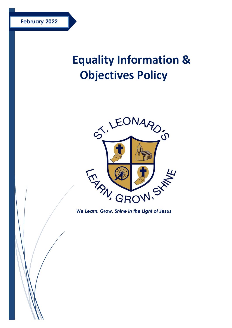# **Equality Information & Objectives Policy**



*We Learn, Grow, Shine in the Light of Jesus*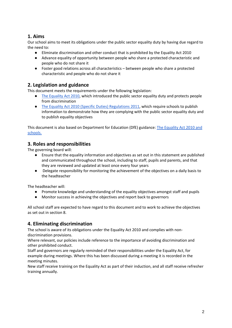## **1. Aims**

Our school aims to meet its obligations under the public sector equality duty by having due regard to the need to:

- Eliminate discrimination and other conduct that is prohibited by the Equality Act 2010
- Advance equality of opportunity between people who share a protected characteristic and people who do not share it
- Foster good relations across all characteristics between people who share a protected characteristic and people who do not share it

## **2. Legislation and guidance**

This document meets the requirements under the following legislation:

- [The Equality Act 2010,](http://www.legislation.gov.uk/ukpga/2010/15/contents) which introduced the public sector equality duty and protects people from discrimination
- [The Equality Act 2010 \(Specific Duties\) Regulations 2011,](http://www.legislation.gov.uk/uksi/2011/2260/contents/made) which require schools to publish information to demonstrate how they are complying with the public sector equality duty and to publish equality objectives

This document is also based on Department for Education (DfE) guidance: [The Equality Act 2010 and](https://www.gov.uk/government/uploads/system/uploads/attachment_data/file/315587/Equality_Act_Advice_Final.pdf)  [schools.](https://www.gov.uk/government/uploads/system/uploads/attachment_data/file/315587/Equality_Act_Advice_Final.pdf)

#### **3. Roles and responsibilities**

The governing board will:

- Ensure that the equality information and objectives as set out in this statement are published and communicated throughout the school, including to staff, pupils and parents, and that they are reviewed and updated at least once every four years
- Delegate responsibility for monitoring the achievement of the objectives on a daily basis to the headteacher

The headteacher will:

- Promote knowledge and understanding of the equality objectives amongst staff and pupils
- Monitor success in achieving the objectives and report back to governors

All school staff are expected to have regard to this document and to work to achieve the objectives as set out in section 8.

## **4. Eliminating discrimination**

The school is aware of its obligations under the Equality Act 2010 and complies with nondiscrimination provisions.

Where relevant, our policies include reference to the importance of avoiding discrimination and other prohibited conduct.

Staff and governors are regularly reminded of their responsibilities under the Equality Act, for example during meetings. Where this has been discussed during a meeting it is recorded in the meeting minutes.

New staff receive training on the Equality Act as part of their induction, and all staff receive refresher training annually.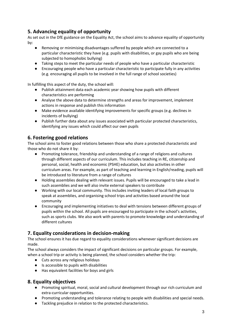## **5. Advancing equality of opportunity**

As set out in the DfE guidance on the Equality Act, the school aims to advance equality of opportunity by:

- Removing or minimising disadvantages suffered by people which are connected to a particular characteristic they have (e.g. pupils with disabilities, or gay pupils who are being subjected to homophobic bullying)
- Taking steps to meet the particular needs of people who have a particular characteristic
- Encouraging people who have a particular characteristic to participate fully in any activities (e.g. encouraging all pupils to be involved in the full range of school societies)

In fulfilling this aspect of the duty, the school will:

- Publish attainment data each academic year showing how pupils with different characteristics are performing
- Analyse the above data to determine strengths and areas for improvement, implement actions in response and publish this information
- Make evidence available identifying improvements for specific groups (e.g. declines in incidents of bullying)
- Publish further data about any issues associated with particular protected characteristics, identifying any issues which could affect our own pupils

## **6. Fostering good relations**

The school aims to foster good relations between those who share a protected characteristic and those who do not share it by:

- Promoting tolerance, friendship and understanding of a range of religions and cultures through different aspects of our curriculum. This includes teaching in RE, citizenship and personal, social, health and economic (PSHE) education, but also activities in other curriculum areas. For example, as part of teaching and learning in English/reading, pupils will be introduced to literature from a range of cultures
- Holding assemblies dealing with relevant issues. Pupils will be encouraged to take a lead in such assemblies and we will also invite external speakers to contribute
- Working with our local community. This includes inviting leaders of local faith groups to speak at assemblies, and organising school trips and activities based around the local community
- Encouraging and implementing initiatives to deal with tensions between different groups of pupils within the school. All pupils are encouraged to participate in the school's activities, such as sports clubs. We also work with parents to promote knowledge and understanding of different cultures

## **7. Equality considerations in decision-making**

The school ensures it has due regard to equality considerations whenever significant decisions are made.

The school always considers the impact of significant decisions on particular groups. For example, when a school trip or activity is being planned, the school considers whether the trip:

- Cuts across any religious holidays
- Is accessible to pupils with disabilities
- Has equivalent facilities for boys and girls

#### **8. Equality objectives**

- Promoting spiritual, moral, social and cultural development through our rich curriculum and extra-curricular opportunities.
- Promoting understanding and tolerance relating to people with disabilities and special needs.
- Tackling prejudice in relation to the protected characteristics.